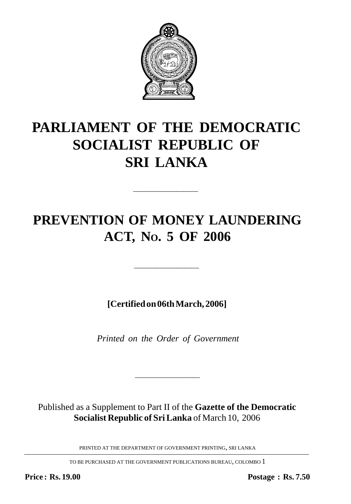

# **PARLIAMENT OF THE DEMOCRATIC SOCIALIST REPUBLIC OF SRI LANKA**

## **PREVENTION OF MONEY LAUNDERING ACT, NO. 5 OF 2006**

—————————

**[Certified on 06th March, 2006]**

—————————

*Printed on the Order of Government*

Published as a Supplement to Part II of the **Gazette of the Democratic Socialist Republic of Sri Lanka** of March 10, 2006

————————————————————

PRINTED AT THE DEPARTMENT OF GOVERNMENT PRINTING, SRI LANKA

TO BE PURCHASED AT THE GOVERNMENT PUBLICATIONS BUREAU, COLOMBO 1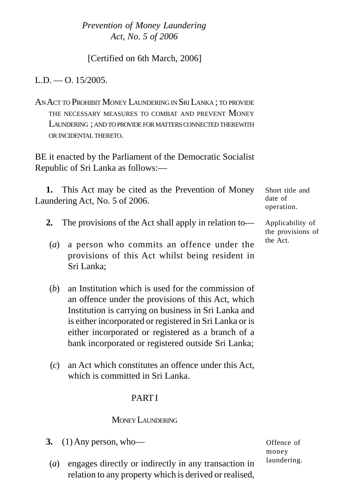[Certified on 6th March, 2006]

 $L.D. = O. 15/2005$ .

AN ACT TO PROHIBIT MONEY LAUNDERING IN SRI LANKA ; TO PROVIDE THE NECESSARY MEASURES TO COMBAT AND PREVENT MONEY LAUNDERING: AND TO PROVIDE FOR MATTERS CONNECTED THEREWITH ORINCIDENTAL THERETO.

BE it enacted by the Parliament of the Democratic Socialist Republic of Sri Lanka as follows:—

**1.** This Act may be cited as the Prevention of Money Laundering Act, No. 5 of 2006.

- **2.** The provisions of the Act shall apply in relation to—
- (*a*) a person who commits an offence under the provisions of this Act whilst being resident in Sri Lanka;
- (*b*) an Institution which is used for the commission of an offence under the provisions of this Act, which Institution is carrying on business in Sri Lanka and is either incorporated or registered in Sri Lanka or is either incorporated or registered as a branch of a bank incorporated or registered outside Sri Lanka;
- (*c*) an Act which constitutes an offence under this Act, which is committed in Sri Lanka.

## PART I

#### MONEY LAUNDERING

- **3.** (1) Any person, who—
- (*a*) engages directly or indirectly in any transaction in relation to any property which is derived or realised,

Short title and date of operation.

Applicability of the provisions of the Act.

Offence of money laundering.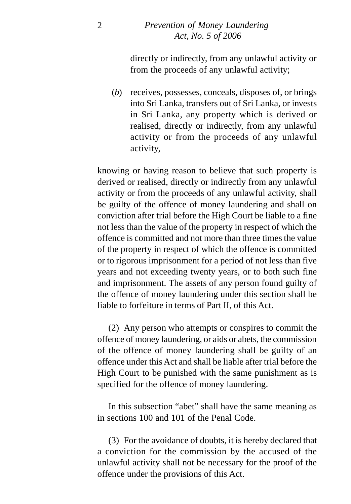directly or indirectly, from any unlawful activity or from the proceeds of any unlawful activity;

(*b*) receives, possesses, conceals, disposes of, or brings into Sri Lanka, transfers out of Sri Lanka, or invests in Sri Lanka, any property which is derived or realised, directly or indirectly, from any unlawful activity or from the proceeds of any unlawful activity,

knowing or having reason to believe that such property is derived or realised, directly or indirectly from any unlawful activity or from the proceeds of any unlawful activity, shall be guilty of the offence of money laundering and shall on conviction after trial before the High Court be liable to a fine not less than the value of the property in respect of which the offence is committed and not more than three times the value of the property in respect of which the offence is committed or to rigorous imprisonment for a period of not less than five years and not exceeding twenty years, or to both such fine and imprisonment. The assets of any person found guilty of the offence of money laundering under this section shall be liable to forfeiture in terms of Part II, of this Act.

(2) Any person who attempts or conspires to commit the offence of money laundering, or aids or abets, the commission of the offence of money laundering shall be guilty of an offence under this Act and shall be liable after trial before the High Court to be punished with the same punishment as is specified for the offence of money laundering.

In this subsection "abet" shall have the same meaning as in sections 100 and 101 of the Penal Code.

(3) For the avoidance of doubts, it is hereby declared that a conviction for the commission by the accused of the unlawful activity shall not be necessary for the proof of the offence under the provisions of this Act.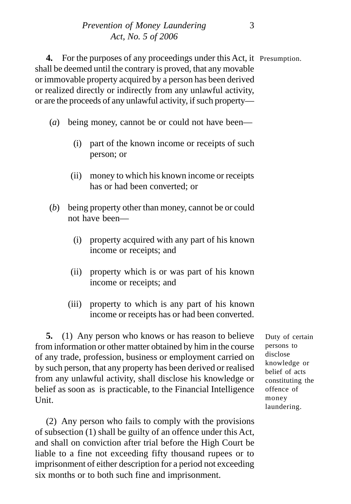**4.** For the purposes of any proceedings under this Act, it Presumption. shall be deemed until the contrary is proved, that any movable or immovable property acquired by a person has been derived or realized directly or indirectly from any unlawful activity, or are the proceeds of any unlawful activity, if such property—

- (*a*) being money, cannot be or could not have been—
	- (i) part of the known income or receipts of such person; or
	- (ii) money to which his known income or receipts has or had been converted; or
- (*b*) being property other than money, cannot be or could not have been—
	- (i) property acquired with any part of his known income or receipts; and
	- (ii) property which is or was part of his known income or receipts; and
	- (iii) property to which is any part of his known income or receipts has or had been converted.

**5.** (1) Any person who knows or has reason to believe from information or other matter obtained by him in the course of any trade, profession, business or employment carried on by such person, that any property has been derived or realised from any unlawful activity, shall disclose his knowledge or belief as soon as is practicable, to the Financial Intelligence Unit.

(2) Any person who fails to comply with the provisions of subsection (1) shall be guilty of an offence under this Act, and shall on conviction after trial before the High Court be liable to a fine not exceeding fifty thousand rupees or to imprisonment of either description for a period not exceeding six months or to both such fine and imprisonment.

Duty of certain persons to disclose knowledge or belief of acts constituting the offence of money laundering.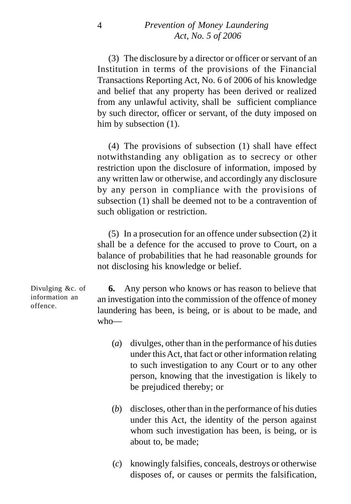(3) The disclosure by a director or officer or servant of an Institution in terms of the provisions of the Financial Transactions Reporting Act, No. 6 of 2006 of his knowledge and belief that any property has been derived or realized from any unlawful activity, shall be sufficient compliance by such director, officer or servant, of the duty imposed on him by subsection  $(1)$ .

(4) The provisions of subsection (1) shall have effect notwithstanding any obligation as to secrecy or other restriction upon the disclosure of information, imposed by any written law or otherwise, and accordingly any disclosure by any person in compliance with the provisions of subsection (1) shall be deemed not to be a contravention of such obligation or restriction.

(5) In a prosecution for an offence under subsection (2) it shall be a defence for the accused to prove to Court, on a balance of probabilities that he had reasonable grounds for not disclosing his knowledge or belief.

**6.** Any person who knows or has reason to believe that an investigation into the commission of the offence of money laundering has been, is being, or is about to be made, and who— Divulging &c. of

- (*a*) divulges, other than in the performance of his duties under this Act, that fact or other information relating to such investigation to any Court or to any other person, knowing that the investigation is likely to be prejudiced thereby; or
- (*b*) discloses, other than in the performance of his duties under this Act, the identity of the person against whom such investigation has been, is being, or is about to, be made;
- (*c*) knowingly falsifies, conceals, destroys or otherwise disposes of, or causes or permits the falsification,

information an offence.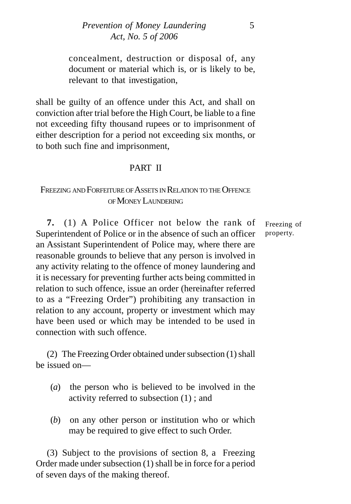concealment, destruction or disposal of, any document or material which is, or is likely to be, relevant to that investigation,

shall be guilty of an offence under this Act, and shall on conviction after trial before the High Court, be liable to a fine not exceeding fifty thousand rupees or to imprisonment of either description for a period not exceeding six months, or to both such fine and imprisonment,

## PART II

## FREEZING AND FOREEITURE OF ASSETS IN RELATION TO THE OFFENCE OF MONEY LAUNDERING

**7.** (1) A Police Officer not below the rank of Superintendent of Police or in the absence of such an officer an Assistant Superintendent of Police may, where there are reasonable grounds to believe that any person is involved in any activity relating to the offence of money laundering and it is necessary for preventing further acts being committed in relation to such offence, issue an order (hereinafter referred to as a "Freezing Order") prohibiting any transaction in relation to any account, property or investment which may have been used or which may be intended to be used in connection with such offence.

(2) The Freezing Order obtained under subsection (1) shall be issued on—

- (*a*) the person who is believed to be involved in the activity referred to subsection (1) ; and
- (*b*) on any other person or institution who or which may be required to give effect to such Order.

(3) Subject to the provisions of section 8, a Freezing Order made under subsection (1) shall be in force for a period of seven days of the making thereof.

Freezing of property.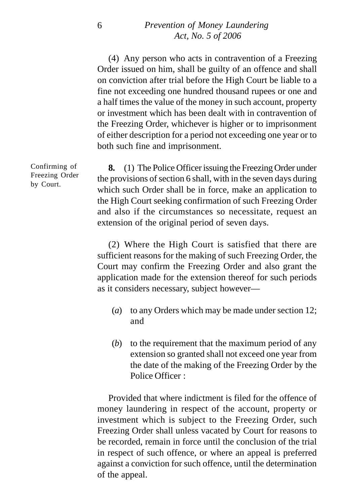(4) Any person who acts in contravention of a Freezing Order issued on him, shall be guilty of an offence and shall on conviction after trial before the High Court be liable to a fine not exceeding one hundred thousand rupees or one and a half times the value of the money in such account, property or investment which has been dealt with in contravention of the Freezing Order, whichever is higher or to imprisonment of either description for a period not exceeding one year or to both such fine and imprisonment.

**8.** (1) The Police Officer issuing the Freezing Order under the provisions of section 6 shall, with in the seven days during which such Order shall be in force, make an application to the High Court seeking confirmation of such Freezing Order and also if the circumstances so necessitate, request an extension of the original period of seven days.

(2) Where the High Court is satisfied that there are sufficient reasons for the making of such Freezing Order, the Court may confirm the Freezing Order and also grant the application made for the extension thereof for such periods as it considers necessary, subject however—

- (*a*) to any Orders which may be made under section 12; and
- (*b*) to the requirement that the maximum period of any extension so granted shall not exceed one year from the date of the making of the Freezing Order by the Police Officer :

Provided that where indictment is filed for the offence of money laundering in respect of the account, property or investment which is subject to the Freezing Order, such Freezing Order shall unless vacated by Court for reasons to be recorded, remain in force until the conclusion of the trial in respect of such offence, or where an appeal is preferred against a conviction for such offence, until the determination of the appeal.

Confirming of Freezing Order by Court.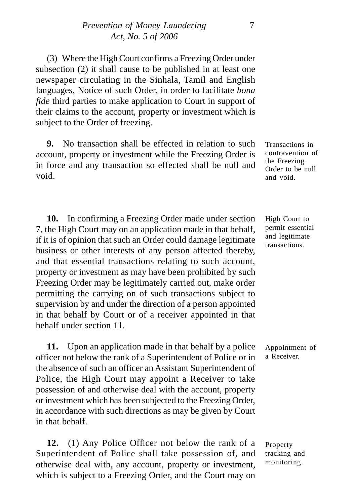(3) Where the High Court confirms a Freezing Order under subsection (2) it shall cause to be published in at least one newspaper circulating in the Sinhala, Tamil and English languages, Notice of such Order, in order to facilitate *bona fide* third parties to make application to Court in support of their claims to the account, property or investment which is subject to the Order of freezing.

**9.** No transaction shall be effected in relation to such account, property or investment while the Freezing Order is in force and any transaction so effected shall be null and void.

**10.** In confirming a Freezing Order made under section 7, the High Court may on an application made in that behalf, if it is of opinion that such an Order could damage legitimate business or other interests of any person affected thereby, and that essential transactions relating to such account, property or investment as may have been prohibited by such Freezing Order may be legitimately carried out, make order permitting the carrying on of such transactions subject to supervision by and under the direction of a person appointed in that behalf by Court or of a receiver appointed in that behalf under section 11.

**11.** Upon an application made in that behalf by a police officer not below the rank of a Superintendent of Police or in the absence of such an officer an Assistant Superintendent of Police, the High Court may appoint a Receiver to take possession of and otherwise deal with the account, property or investment which has been subjected to the Freezing Order, in accordance with such directions as may be given by Court in that behalf.

**12.** (1) Any Police Officer not below the rank of a Superintendent of Police shall take possession of, and otherwise deal with, any account, property or investment, which is subject to a Freezing Order, and the Court may on

Transactions in contravention of the Freezing Order to be null and void.

High Court to permit essential and legitimate transactions.

Appointment of a Receiver.

Property tracking and monitoring.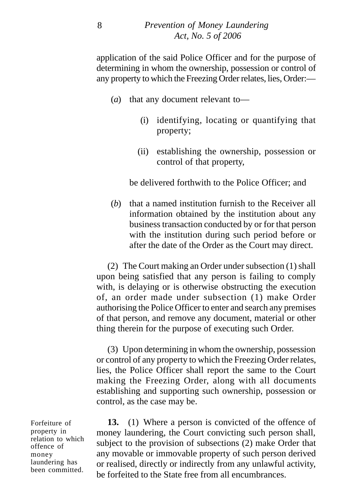application of the said Police Officer and for the purpose of determining in whom the ownership, possession or control of any property to which the Freezing Order relates, lies, Order:—

- (*a*) that any document relevant to—
	- (i) identifying, locating or quantifying that property;
	- (ii) establishing the ownership, possession or control of that property,

be delivered forthwith to the Police Officer; and

(*b*) that a named institution furnish to the Receiver all information obtained by the institution about any business transaction conducted by or for that person with the institution during such period before or after the date of the Order as the Court may direct.

(2) The Court making an Order under subsection (1) shall upon being satisfied that any person is failing to comply with, is delaying or is otherwise obstructing the execution of, an order made under subsection (1) make Order authorising the Police Officer to enter and search any premises of that person, and remove any document, material or other thing therein for the purpose of executing such Order.

(3) Upon determining in whom the ownership, possession or control of any property to which the Freezing Order relates, lies, the Police Officer shall report the same to the Court making the Freezing Order, along with all documents establishing and supporting such ownership, possession or control, as the case may be.

**13.** (1) Where a person is convicted of the offence of money laundering, the Court convicting such person shall, subject to the provision of subsections (2) make Order that any movable or immovable property of such person derived or realised, directly or indirectly from any unlawful activity, be forfeited to the State free from all encumbrances.

Forfeiture of property in relation to which offence of money laundering has been committed.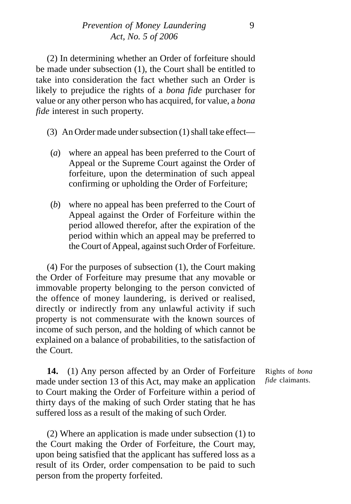(2) In determining whether an Order of forfeiture should be made under subsection (1), the Court shall be entitled to take into consideration the fact whether such an Order is likely to prejudice the rights of a *bona fide* purchaser for value or any other person who has acquired, for value, a *bona fide* interest in such property.

(3) An Order made under subsection (1) shall take effect—

- (*a*) where an appeal has been preferred to the Court of Appeal or the Supreme Court against the Order of forfeiture, upon the determination of such appeal confirming or upholding the Order of Forfeiture;
- (*b*) where no appeal has been preferred to the Court of Appeal against the Order of Forfeiture within the period allowed therefor, after the expiration of the period within which an appeal may be preferred to the Court of Appeal, against such Order of Forfeiture.

(4) For the purposes of subsection (1), the Court making the Order of Forfeiture may presume that any movable or immovable property belonging to the person convicted of the offence of money laundering, is derived or realised, directly or indirectly from any unlawful activity if such property is not commensurate with the known sources of income of such person, and the holding of which cannot be explained on a balance of probabilities, to the satisfaction of the Court.

**14.** (1) Any person affected by an Order of Forfeiture made under section 13 of this Act, may make an application to Court making the Order of Forfeiture within a period of thirty days of the making of such Order stating that he has suffered loss as a result of the making of such Order.

(2) Where an application is made under subsection (1) to the Court making the Order of Forfeiture, the Court may, upon being satisfied that the applicant has suffered loss as a result of its Order, order compensation to be paid to such person from the property forfeited.

Rights of *bona fide* claimants.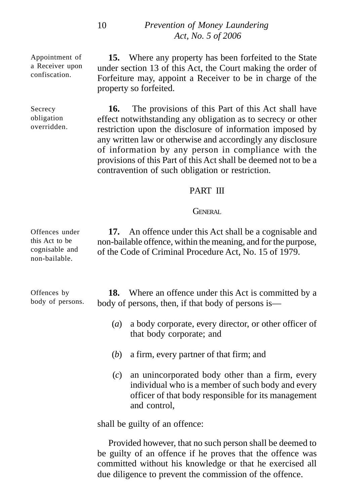Appointment of a Receiver upon confiscation.

Secrecy obligation overridden.

**15.** Where any property has been forfeited to the State under section 13 of this Act, the Court making the order of Forfeiture may, appoint a Receiver to be in charge of the property so forfeited.

**16.** The provisions of this Part of this Act shall have effect notwithstanding any obligation as to secrecy or other restriction upon the disclosure of information imposed by any written law or otherwise and accordingly any disclosure of information by any person in compliance with the provisions of this Part of this Act shall be deemed not to be a contravention of such obligation or restriction.

#### PART III

#### GENERAL

**17.** An offence under this Act shall be a cognisable and non-bailable offence, within the meaning, and for the purpose, of the Code of Criminal Procedure Act, No. 15 of 1979.

**18.** Where an offence under this Act is committed by a body of persons, then, if that body of persons is—

- (*a*) a body corporate, every director, or other officer of that body corporate; and
- (*b*) a firm, every partner of that firm; and
- (*c*) an unincorporated body other than a firm, every individual who is a member of such body and every officer of that body responsible for its management and control,

shall be guilty of an offence:

Provided however, that no such person shall be deemed to be guilty of an offence if he proves that the offence was committed without his knowledge or that he exercised all due diligence to prevent the commission of the offence.

Offences under this Act to be cognisable and non-bailable.

Offences by body of persons.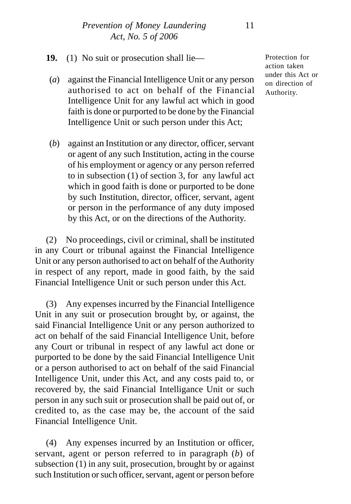- (*a*) against the Financial Intelligence Unit or any person authorised to act on behalf of the Financial Intelligence Unit for any lawful act which in good faith is done or purported to be done by the Financial Intelligence Unit or such person under this Act;
- (*b*) against an Institution or any director, officer, servant or agent of any such Institution, acting in the course of his employment or agency or any person referred to in subsection (1) of section 3, for any lawful act which in good faith is done or purported to be done by such Institution, director, officer, servant, agent or person in the performance of any duty imposed by this Act, or on the directions of the Authority.

(2) No proceedings, civil or criminal, shall be instituted in any Court or tribunal against the Financial Intelligence Unit or any person authorised to act on behalf of the Authority in respect of any report, made in good faith, by the said Financial Intelligence Unit or such person under this Act.

(3) Any expenses incurred by the Financial Intelligence Unit in any suit or prosecution brought by, or against, the said Financial Intelligence Unit or any person authorized to act on behalf of the said Financial Intelligence Unit, before any Court or tribunal in respect of any lawful act done or purported to be done by the said Financial Intelligence Unit or a person authorised to act on behalf of the said Financial Intelligence Unit, under this Act, and any costs paid to, or recovered by, the said Financial Intelligance Unit or such person in any such suit or prosecution shall be paid out of, or credited to, as the case may be, the account of the said Financial Intelligence Unit.

(4) Any expenses incurred by an Institution or officer, servant, agent or person referred to in paragraph (*b*) of subsection (1) in any suit, prosecution, brought by or against such Institution or such officer, servant, agent or person before Protection for action taken under this Act or on direction of Authority.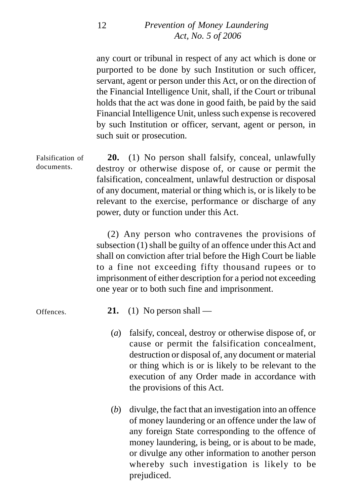any court or tribunal in respect of any act which is done or purported to be done by such Institution or such officer, servant, agent or person under this Act, or on the direction of the Financial Intelligence Unit, shall, if the Court or tribunal holds that the act was done in good faith, be paid by the said Financial Intelligence Unit, unless such expense is recovered by such Institution or officer, servant, agent or person, in such suit or prosecution.

**20.** (1) No person shall falsify, conceal, unlawfully destroy or otherwise dispose of, or cause or permit the falsification, concealment, unlawful destruction or disposal of any document, material or thing which is, or is likely to be relevant to the exercise, performance or discharge of any power, duty or function under this Act. Falsification of documents.

> (2) Any person who contravenes the provisions of subsection (1) shall be guilty of an offence under this Act and shall on conviction after trial before the High Court be liable to a fine not exceeding fifty thousand rupees or to imprisonment of either description for a period not exceeding one year or to both such fine and imprisonment.

Offences.

- **21.** (1) No person shall —
- (*a*) falsify, conceal, destroy or otherwise dispose of, or cause or permit the falsification concealment, destruction or disposal of, any document or material or thing which is or is likely to be relevant to the execution of any Order made in accordance with the provisions of this Act.
- (*b*) divulge, the fact that an investigation into an offence of money laundering or an offence under the law of any foreign State corresponding to the offence of money laundering, is being, or is about to be made, or divulge any other information to another person whereby such investigation is likely to be prejudiced.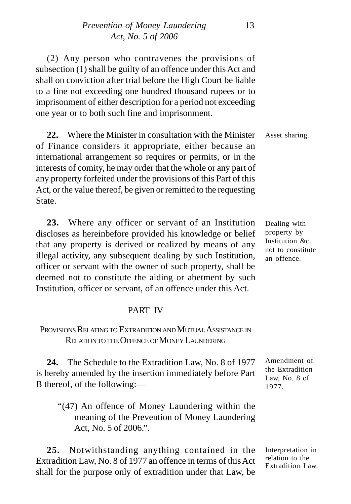(2) Any person who contravenes the provisions of subsection (1) shall be guilty of an offence under this Act and shall on conviction after trial before the High Court be liable to a fine not exceeding one hundred thousand rupees or to imprisonment of either description for a period not exceeding one year or to both such fine and imprisonment.

**22.** Where the Minister in consultation with the Minister of Finance considers it appropriate, either because an international arrangement so requires or permits, or in the interests of comity, he may order that the whole or any part of any property forfeited under the provisions of this Part of this Act, or the value thereof, be given or remitted to the requesting State. Asset sharing.

**23.** Where any officer or servant of an Institution discloses as hereinbefore provided his knowledge or belief that any property is derived or realized by means of any illegal activity, any subsequent dealing by such Institution, officer or servant with the owner of such property, shall be deemed not to constitute the aiding or abetment by such Institution, officer or servant, of an offence under this Act.

#### PART IV

#### PROVISIONS RELATING TO EXTRADITION AND MUTUAL ASSISTANCE IN RELATION TO THE OFFENCE OF MONEY LAUNDERING

**24.** The Schedule to the Extradition Law, No. 8 of 1977 is hereby amended by the insertion immediately before Part B thereof, of the following:—

"(47) An offence of Money Laundering within the meaning of the Prevention of Money Laundering Act, No. 5 of 2006.".

**25.** Notwithstanding anything contained in the Extradition Law, No. 8 of 1977 an offence in terms of this Act shall for the purpose only of extradition under that Law, be

Dealing with property by Institution &c. not to constitute an offence.

Amendment of the Extradition Law, No. 8 of 1977.

Interpretation in relation to the Extradition Law.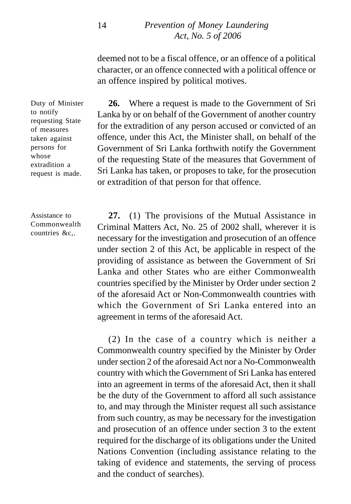deemed not to be a fiscal offence, or an offence of a political character, or an offence connected with a political offence or an offence inspired by political motives.

**26.** Where a request is made to the Government of Sri Lanka by or on behalf of the Government of another country for the extradition of any person accused or convicted of an offence, under this Act, the Minister shall, on behalf of the Government of Sri Lanka forthwith notify the Government of the requesting State of the measures that Government of Sri Lanka has taken, or proposes to take, for the prosecution or extradition of that person for that offence.

**27.** (1) The provisions of the Mutual Assistance in Criminal Matters Act, No. 25 of 2002 shall, wherever it is necessary for the investigation and prosecution of an offence under section 2 of this Act, be applicable in respect of the providing of assistance as between the Government of Sri Lanka and other States who are either Commonwealth countries specified by the Minister by Order under section 2 of the aforesaid Act or Non-Commonwealth countries with which the Government of Sri Lanka entered into an agreement in terms of the aforesaid Act.

(2) In the case of a country which is neither a Commonwealth country specified by the Minister by Order under section 2 of the aforesaid Act nor a No-Commonwealth country with which the Government of Sri Lanka has entered into an agreement in terms of the aforesaid Act, then it shall be the duty of the Government to afford all such assistance to, and may through the Minister request all such assistance from such country, as may be necessary for the investigation and prosecution of an offence under section 3 to the extent required for the discharge of its obligations under the United Nations Convention (including assistance relating to the taking of evidence and statements, the serving of process and the conduct of searches).

Duty of Minister to notify requesting State of measures taken against persons for whose extradition a request is made.

Assistance to Commonwealth countries &c,.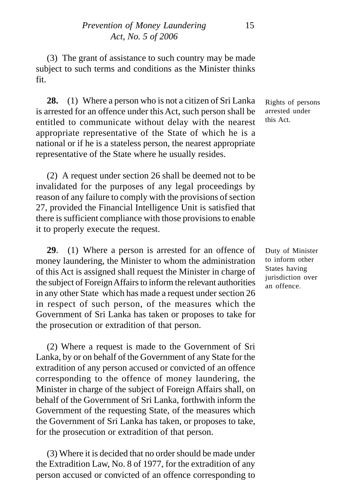(3) The grant of assistance to such country may be made subject to such terms and conditions as the Minister thinks fit.

**28.** (1) Where a person who is not a citizen of Sri Lanka is arrested for an offence under this Act, such person shall be entitled to communicate without delay with the nearest appropriate representative of the State of which he is a national or if he is a stateless person, the nearest appropriate representative of the State where he usually resides.

(2) A request under section 26 shall be deemed not to be invalidated for the purposes of any legal proceedings by reason of any failure to comply with the provisions of section 27, provided the Financial Intelligence Unit is satisfied that there is sufficient compliance with those provisions to enable it to properly execute the request.

**29**. (1) Where a person is arrested for an offence of money laundering, the Minister to whom the administration of this Act is assigned shall request the Minister in charge of the subject of Foreign Affairs to inform the relevant authorities in any other State which has made a request under section 26 in respect of such person, of the measures which the Government of Sri Lanka has taken or proposes to take for the prosecution or extradition of that person.

(2) Where a request is made to the Government of Sri Lanka, by or on behalf of the Government of any State for the extradition of any person accused or convicted of an offence corresponding to the offence of money laundering, the Minister in charge of the subject of Foreign Affairs shall, on behalf of the Government of Sri Lanka, forthwith inform the Government of the requesting State, of the measures which the Government of Sri Lanka has taken, or proposes to take, for the prosecution or extradition of that person.

(3) Where it is decided that no order should be made under the Extradition Law, No. 8 of 1977, for the extradition of any person accused or convicted of an offence corresponding to

Rights of persons arrested under this Act.

Duty of Minister to inform other States having jurisdiction over an offence.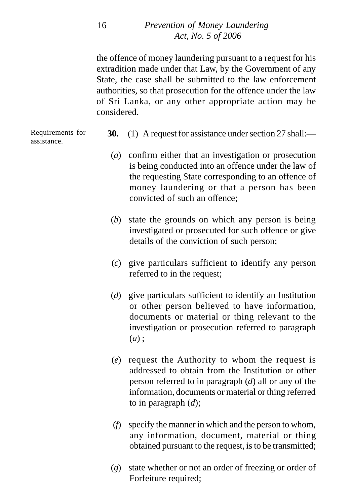the offence of money laundering pursuant to a request for his extradition made under that Law, by the Government of any State, the case shall be submitted to the law enforcement authorities, so that prosecution for the offence under the law of Sri Lanka, or any other appropriate action may be considered.

Requirements for assistance.

- **30.** (1) A request for assistance under section 27 shall:—
	- (*a*) confirm either that an investigation or prosecution is being conducted into an offence under the law of the requesting State corresponding to an offence of money laundering or that a person has been convicted of such an offence;
- (*b*) state the grounds on which any person is being investigated or prosecuted for such offence or give details of the conviction of such person;
- (*c*) give particulars sufficient to identify any person referred to in the request;
- (*d*) give particulars sufficient to identify an Institution or other person believed to have information, documents or material or thing relevant to the investigation or prosecution referred to paragraph (*a*) ;
- (*e*) request the Authority to whom the request is addressed to obtain from the Institution or other person referred to in paragraph (*d*) all or any of the information, documents or material or thing referred to in paragraph (*d*);
- (*f*) specify the manner in which and the person to whom, any information, document, material or thing obtained pursuant to the request, is to be transmitted;
- (*g*) state whether or not an order of freezing or order of Forfeiture required;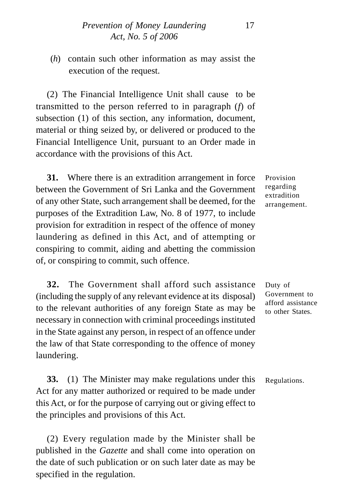(*h*) contain such other information as may assist the execution of the request.

(2) The Financial Intelligence Unit shall cause to be transmitted to the person referred to in paragraph (*f*) of subsection (1) of this section, any information, document, material or thing seized by, or delivered or produced to the Financial Intelligence Unit, pursuant to an Order made in accordance with the provisions of this Act.

**31.** Where there is an extradition arrangement in force between the Government of Sri Lanka and the Government of any other State, such arrangement shall be deemed, for the purposes of the Extradition Law, No. 8 of 1977, to include provision for extradition in respect of the offence of money laundering as defined in this Act, and of attempting or conspiring to commit, aiding and abetting the commission of, or conspiring to commit, such offence.

**32.** The Government shall afford such assistance (including the supply of any relevant evidence at its disposal) to the relevant authorities of any foreign State as may be necessary in connection with criminal proceedings instituted in the State against any person, in respect of an offence under the law of that State corresponding to the offence of money laundering.

**33.** (1) The Minister may make regulations under this Act for any matter authorized or required to be made under this Act, or for the purpose of carrying out or giving effect to the principles and provisions of this Act.

(2) Every regulation made by the Minister shall be published in the *Gazette* and shall come into operation on the date of such publication or on such later date as may be specified in the regulation.

Provision regarding extradition arrangement.

Duty of Government to afford assistance to other States.

Regulations.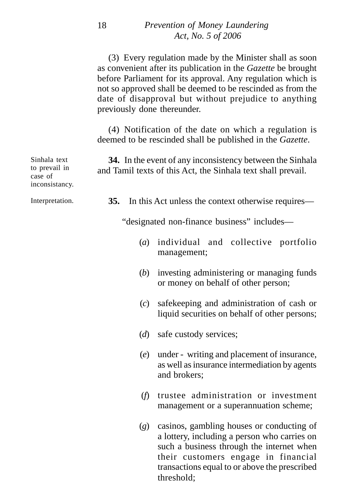|                                                            | (3) Every regulation made by the Minister shall as soon<br>as convenient after its publication in the Gazette be brought<br>before Parliament for its approval. Any regulation which is<br>not so approved shall be deemed to be rescinded as from the<br>date of disapproval but without prejudice to anything<br>previously done thereunder. |
|------------------------------------------------------------|------------------------------------------------------------------------------------------------------------------------------------------------------------------------------------------------------------------------------------------------------------------------------------------------------------------------------------------------|
|                                                            | (4) Notification of the date on which a regulation is<br>deemed to be rescinded shall be published in the Gazette.                                                                                                                                                                                                                             |
| Sinhala text<br>to prevail in<br>case of<br>inconsistancy. | 34. In the event of any inconsistency between the Sinhala<br>and Tamil texts of this Act, the Sinhala text shall prevail.                                                                                                                                                                                                                      |
| Interpretation.                                            | 35.<br>In this Act unless the context otherwise requires—                                                                                                                                                                                                                                                                                      |
|                                                            | "designated non-finance business" includes—                                                                                                                                                                                                                                                                                                    |
|                                                            | (a)<br>individual<br>and collective<br>portfolio<br>management;                                                                                                                                                                                                                                                                                |
|                                                            | (b)<br>investing administering or managing funds<br>or money on behalf of other person;                                                                                                                                                                                                                                                        |
|                                                            | safekeeping and administration of cash or<br>(c)<br>liquid securities on behalf of other persons;                                                                                                                                                                                                                                              |
|                                                            | (d)<br>safe custody services;                                                                                                                                                                                                                                                                                                                  |
|                                                            | under - writing and placement of insurance,<br>(e)<br>as well as insurance intermediation by agents<br>and brokers;                                                                                                                                                                                                                            |
|                                                            | (f)<br>trustee administration or investment<br>management or a superannuation scheme;                                                                                                                                                                                                                                                          |
|                                                            | (g)<br>casinos, gambling houses or conducting of<br>a lottery, including a person who carries on<br>such a business through the internet when<br>their customers engage in financial<br>transactions equal to or above the prescribed                                                                                                          |

threshold;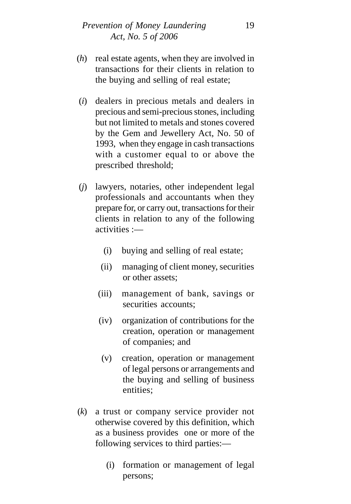- (*h*) real estate agents, when they are involved in transactions for their clients in relation to the buying and selling of real estate;
- (*i*) dealers in precious metals and dealers in precious and semi-precious stones, including but not limited to metals and stones covered by the Gem and Jewellery Act, No. 50 of 1993, when they engage in cash transactions with a customer equal to or above the prescribed threshold;
- (*j*) lawyers, notaries, other independent legal professionals and accountants when they prepare for, or carry out, transactions for their clients in relation to any of the following activities :—
	- (i) buying and selling of real estate;
	- (ii) managing of client money, securities or other assets;
	- (iii) management of bank, savings or securities accounts;
	- (iv) organization of contributions for the creation, operation or management of companies; and
	- (v) creation, operation or management of legal persons or arrangements and the buying and selling of business entities;
- (*k*) a trust or company service provider not otherwise covered by this definition, which as a business provides one or more of the following services to third parties:—
	- (i) formation or management of legal persons;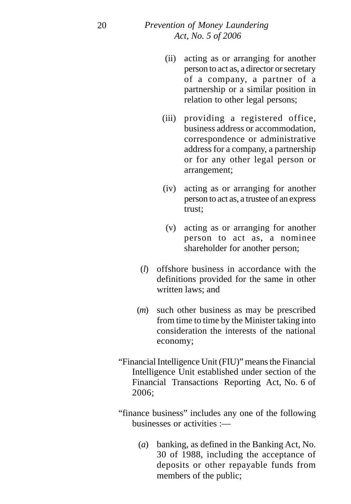- (ii) acting as or arranging for another person to act as, a director or secretary of a company, a partner of a partnership or a similar position in relation to other legal persons;
- (iii) providing a registered office, business address or accommodation, correspondence or administrative address for a company, a partnership or for any other legal person or arrangement;
- (iv) acting as or arranging for another person to act as, a trustee of an express trust;
- (v) acting as or arranging for another person to act as, a nominee shareholder for another person;
- (*l*) offshore business in accordance with the definitions provided for the same in other written laws; and
- (*m*) such other business as may be prescribed from time to time by the Minister taking into consideration the interests of the national economy;
- "Financial Intelligence Unit (FIU)" means the Financial Intelligence Unit established under section of the Financial Transactions Reporting Act, No. 6 of 2006;
- "finance business" includes any one of the following businesses or activities :—
	- (*a*) banking, as defined in the Banking Act, No. 30 of 1988, including the acceptance of deposits or other repayable funds from members of the public;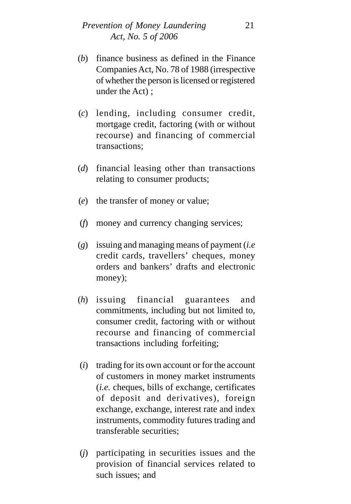- (*b*) finance business as defined in the Finance Companies Act, No. 78 of 1988 (irrespective of whether the person is licensed or registered under the Act) ;
- (*c*) lending, including consumer credit, mortgage credit, factoring (with or without recourse) and financing of commercial transactions;
- (*d*) financial leasing other than transactions relating to consumer products;
- (*e*) the transfer of money or value;
- (*f*) money and currency changing services;
- (*g*) issuing and managing means of payment (*i.e* credit cards, travellers' cheques, money orders and bankers' drafts and electronic money);
- (*h*) issuing financial guarantees and commitments, including but not limited to, consumer credit, factoring with or without recourse and financing of commercial transactions including forfeiting;
- (*i*) trading for its own account or for the account of customers in money market instruments (*i.e.* cheques, bills of exchange, certificates of deposit and derivatives), foreign exchange, exchange, interest rate and index instruments, commodity futures trading and transferable securities;
- (*j*) participating in securities issues and the provision of financial services related to such issues; and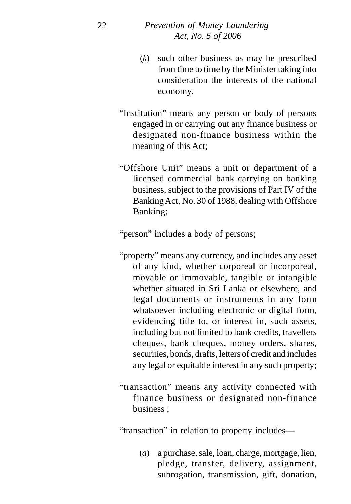- (*k*) such other business as may be prescribed from time to time by the Minister taking into consideration the interests of the national economy.
- "Institution" means any person or body of persons engaged in or carrying out any finance business or designated non-finance business within the meaning of this Act;
- "Offshore Unit" means a unit or department of a licensed commercial bank carrying on banking business, subject to the provisions of Part IV of the Banking Act, No. 30 of 1988, dealing with Offshore Banking;

"person" includes a body of persons;

- "property" means any currency, and includes any asset of any kind, whether corporeal or incorporeal, movable or immovable, tangible or intangible whether situated in Sri Lanka or elsewhere, and legal documents or instruments in any form whatsoever including electronic or digital form, evidencing title to, or interest in, such assets, including but not limited to bank credits, travellers cheques, bank cheques, money orders, shares, securities, bonds, drafts, letters of credit and includes any legal or equitable interest in any such property;
- "transaction" means any activity connected with finance business or designated non-finance business ;

"transaction" in relation to property includes—

(*a*) a purchase, sale, loan, charge, mortgage, lien, pledge, transfer, delivery, assignment, subrogation, transmission, gift, donation,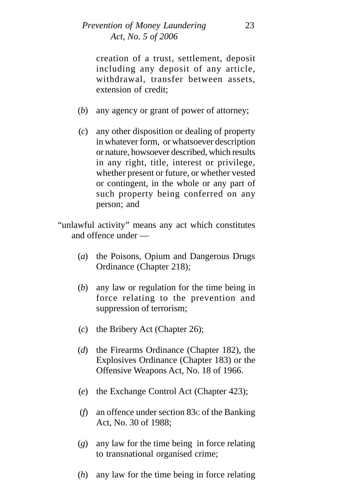creation of a trust, settlement, deposit including any deposit of any article, withdrawal, transfer between assets, extension of credit;

- (*b*) any agency or grant of power of attorney;
- (*c*) any other disposition or dealing of property in whatever form, or whatsoever description or nature, howsoever described, which results in any right, title, interest or privilege, whether present or future, or whether vested or contingent, in the whole or any part of such property being conferred on any person; and
- "unlawful activity" means any act which constitutes and offence under —
	- (*a*) the Poisons, Opium and Dangerous Drugs Ordinance (Chapter 218);
	- (*b*) any law or regulation for the time being in force relating to the prevention and suppression of terrorism;
	- (*c*) the Bribery Act (Chapter 26);
	- (*d*) the Firearms Ordinance (Chapter 182), the Explosives Ordinance (Chapter 183) or the Offensive Weapons Act, No. 18 of 1966.
	- (*e*) the Exchange Control Act (Chapter 423);
	- (*f*) an offence under section 83C of the Banking Act, No. 30 of 1988;
	- (*g*) any law for the time being in force relating to transnational organised crime;
	- (*h*) any law for the time being in force relating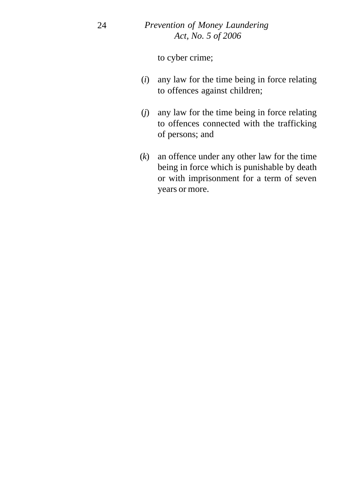to cyber crime;

- (*i*) any law for the time being in force relating to offences against children;
- (*j*) any law for the time being in force relating to offences connected with the trafficking of persons; and
- (*k*) an offence under any other law for the time being in force which is punishable by death or with imprisonment for a term of seven years or more.